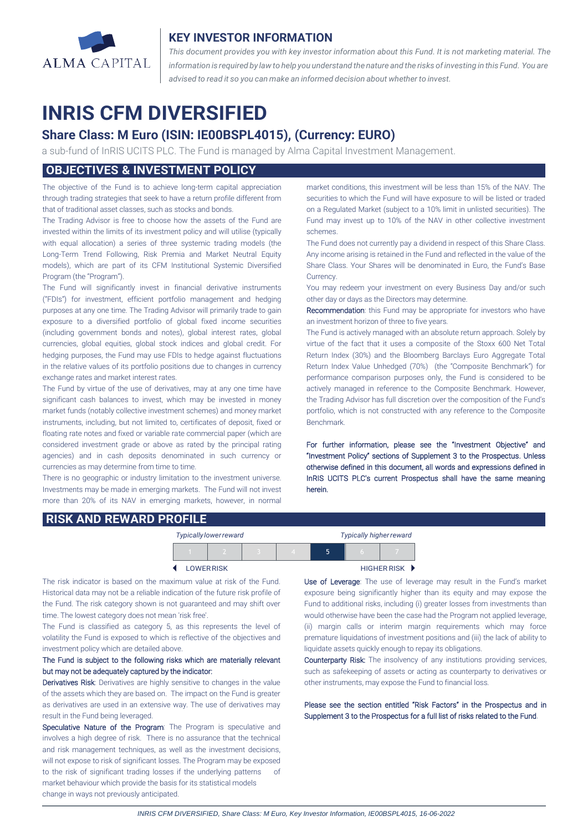

#### **KEY INVESTOR INFORMATION**

*This document provides you with key investor information about this Fund. It is not marketing material. The* information is required by law to help you understand the nature and the risks of investing in this Fund. You are *advised to read it so you can make an informed decision about whether to invest.*

# **INRIS CFM DIVERSIFIED**

## **Share Class: M Euro (ISIN: IE00BSPL4015), (Currency: EURO)**

a sub-fund of InRIS UCITS PLC. The Fund is managed by Alma Capital Investment Management.

## **OBJECTIVES & INVESTMENT POLICY**

The objective of the Fund is to achieve long-term capital appreciation through trading strategies that seek to have a return profile different from that of traditional asset classes, such as stocks and bonds.

The Trading Advisor is free to choose how the assets of the Fund are invested within the limits of its investment policy and will utilise (typically with equal allocation) a series of three systemic trading models (the Long-Term Trend Following, Risk Premia and Market Neutral Equity models), which are part of its CFM Institutional Systemic Diversified Program (the "Program").

The Fund will significantly invest in financial derivative instruments ("FDIs") for investment, efficient portfolio management and hedging purposes at any one time. The Trading Advisor will primarily trade to gain exposure to a diversified portfolio of global fixed income securities (including government bonds and notes), global interest rates, global currencies, global equities, global stock indices and global credit. For hedging purposes, the Fund may use FDIs to hedge against fluctuations in the relative values of its portfolio positions due to changes in currency exchange rates and market interest rates.

The Fund by virtue of the use of derivatives, may at any one time have significant cash balances to invest, which may be invested in money market funds (notably collective investment schemes) and money market instruments, including, but not limited to, certificates of deposit, fixed or floating rate notes and fixed or variable rate commercial paper (which are considered investment grade or above as rated by the principal rating agencies) and in cash deposits denominated in such currency or currencies as may determine from time to time.

There is no geographic or industry limitation to the investment universe. Investments may be made in emerging markets. The Fund will not invest more than 20% of its NAV in emerging markets, however, in normal market conditions, this investment will be less than 15% of the NAV. The securities to which the Fund will have exposure to will be listed or traded on a Regulated Market (subject to a 10% limit in unlisted securities). The Fund may invest up to 10% of the NAV in other collective investment schemes.

The Fund does not currently pay a dividend in respect of this Share Class. Any income arising is retained in the Fund and reflected in the value of the Share Class. Your Shares will be denominated in Euro, the Fund's Base Currency.

You may redeem your investment on every Business Day and/or such other day or days as the Directors may determine.

Recommendation: this Fund may be appropriate for investors who have an investment horizon of three to five years.

The Fund is actively managed with an absolute return approach. Solely by virtue of the fact that it uses a composite of the Stoxx 600 Net Total Return Index (30%) and the Bloomberg Barclays Euro Aggregate Total Return Index Value Unhedged (70%) (the "Composite Benchmark") for performance comparison purposes only, the Fund is considered to be actively managed in reference to the Composite Benchmark. However, the Trading Advisor has full discretion over the composition of the Fund's portfolio, which is not constructed with any reference to the Composite Benchmark.

For further information, please see the "Investment Objective" and "Investment Policy" sections of Supplement 3 to the Prospectus. Unless otherwise defined in this document, all words and expressions defined in InRIS UCITS PLC's current Prospectus shall have the same meaning herein.

#### **RISK AND REWARD PROFILE**

|                   |  | <b>Typically lower reward</b> |  | <b>Typically higher reward</b> |             |  |
|-------------------|--|-------------------------------|--|--------------------------------|-------------|--|
|                   |  |                               |  | ה                              |             |  |
| <b>LOWER RISK</b> |  |                               |  |                                | HIGHER RISK |  |

The risk indicator is based on the maximum value at risk of the Fund. Historical data may not be a reliable indication of the future risk profile of the Fund. The risk category shown is not guaranteed and may shift over time. The lowest category does not mean 'risk free'.

The Fund is classified as category 5, as this represents the level of volatility the Fund is exposed to which is reflective of the objectives and investment policy which are detailed above.

#### The Fund is subject to the following risks which are materially relevant but may not be adequately captured by the indicator:

Derivatives Risk: Derivatives are highly sensitive to changes in the value of the assets which they are based on. The impact on the Fund is greater as derivatives are used in an extensive way. The use of derivatives may result in the Fund being leveraged.

Speculative Nature of the Program: The Program is speculative and involves a high degree of risk. There is no assurance that the technical and risk management techniques, as well as the investment decisions, will not expose to risk of significant losses. The Program may be exposed to the risk of significant trading losses if the underlying patterns of market behaviour which provide the basis for its statistical models change in ways not previously anticipated.

 $\overline{a}$ 

Use of Leverage: The use of leverage may result in the Fund's market exposure being significantly higher than its equity and may expose the Fund to additional risks, including (i) greater losses from investments than would otherwise have been the case had the Program not applied leverage, (ii) margin calls or interim margin requirements which may force premature liquidations of investment positions and (iii) the lack of ability to liquidate assets quickly enough to repay its obligations.

Counterparty Risk: The insolvency of any institutions providing services, such as safekeeping of assets or acting as counterparty to derivatives or other instruments, may expose the Fund to financial loss.

Please see the section entitled "Risk Factors" in the Prospectus and in Supplement 3 to the Prospectus for a full list of risks related to the Fund.